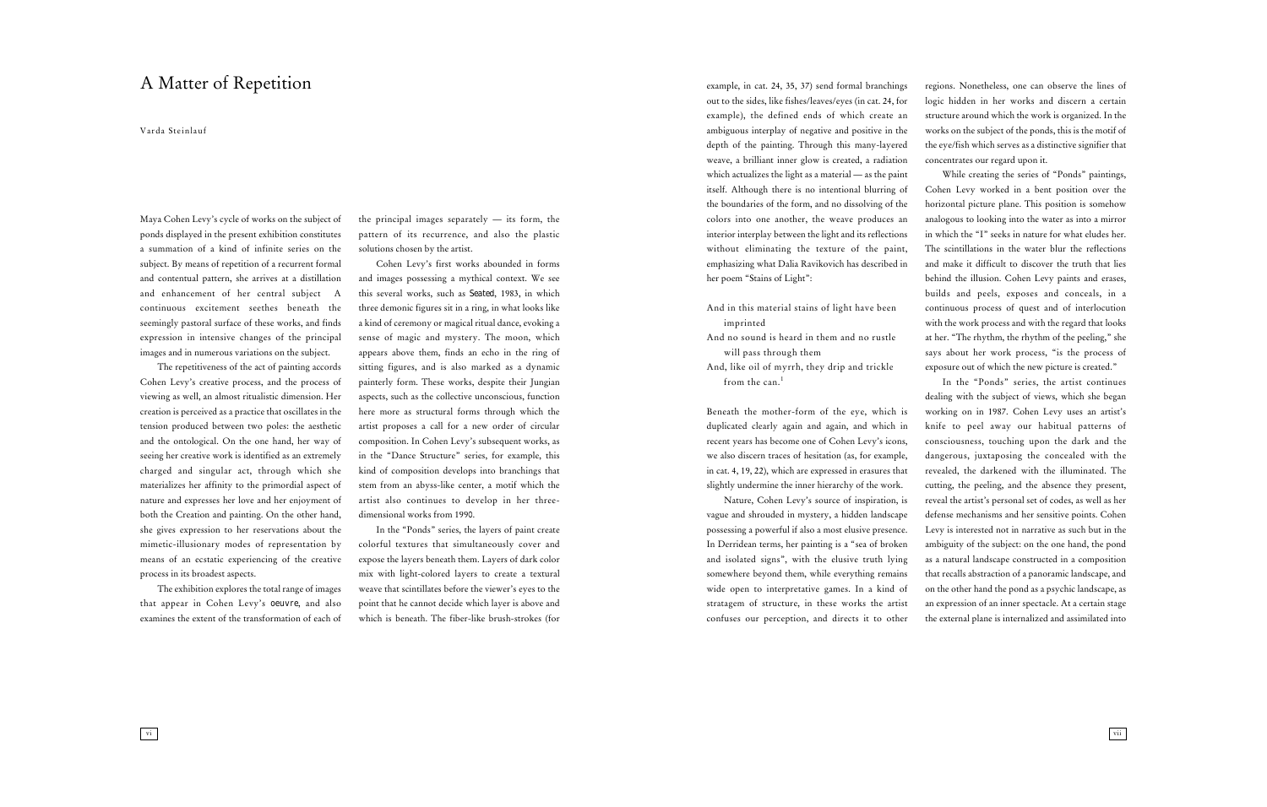Maya Cohen Levy's cycle of works on the subject of ponds displayed in the present exhibition constitutes a summation of a kind of infinite series on the subject. By means of repetition of a recurrent formal and contentual pattern, she arrives at a distillation and enhancement of her central subject A continuous excitement seethes beneath the seemingly pastoral surface of these works, and finds expression in intensive changes of the principal images and in numerous variations on the subject.

The repetitiveness of the act of painting accords Cohen Levy's creative process, and the process of viewing as well, an almost ritualistic dimension. Her creation is perceived as a practice that oscillates in the tension produced between two poles: the aesthetic and the ontological. On the one hand, her way of seeing her creative work is identified as an extremely charged and singular act, through which she materializes her affinity to the primordial aspect of nature and expresses her love and her enjoyment of both the Creation and painting. On the other hand, she gives expression to her reservations about the mimetic-illusionary modes of representation by means of an ecstatic experiencing of the creative process in its broadest aspects.

The exhibition explores the total range of images that appear in Cohen Levy's *oeuvre*, and also examines the extent of the transformation of each of the principal images separately — its form, the pattern of its recurrence, and also the plastic solutions chosen by the artist.

Cohen Levy's first works abounded in forms and images possessing a mythical context. We see this several works, such as *Seated*, 1983, in which three demonic figures sit in a ring, in what looks like a kind of ceremony or magical ritual dance, evoking a sense of magic and mystery. The moon, which appears above them, finds an echo in the ring of sitting figures, and is also marked as a dynamic painterly form. These works, despite their Jungian aspects, such as the collective unconscious, function here more as structural forms through which the artist proposes a call for a new order of circular composition. In Cohen Levy's subsequent works, as in the "Dance Structure" series, for example, this kind of composition develops into branchings that stem from an abyss-like center, a motif which the artist also continues to develop in her threedimensional works from 1990.

In the "Ponds" series, the layers of paint create colorful textures that simultaneously cover and expose the layers beneath them. Layers of dark color mix with light-colored layers to create a textural weave that scintillates before the viewer's eyes to the point that he cannot decide which layer is above and which is beneath. The fiber-like brush-strokes (for

## A Matter of Repetition

Varda Steinlauf

vi

example, in cat. 24, 35, 37) send formal branchings out to the sides, like fishes/leaves/eyes (in cat. 24, for example), the defined ends of which create an ambiguous interplay of negative and positive in the depth of the painting. Through this many-layered weave, a brilliant inner glow is created, a radiation which actualizes the light as a material — as the paint itself. Although there is no intentional blurring of the boundaries of the form, and no dissolving of the colors into one another, the weave produces an interior interplay between the light and its reflections without eliminating the texture of the paint, emphasizing what Dalia Ravikovich has described in her poem "Stains of Light":

And in this material stains of light have been imprinted And no sound is heard in them and no rustle will pass through them And, like oil of myrrh, they drip and trickle from the can.<sup>1</sup>

Beneath the mother-form of the eye, which is duplicated clearly again and again, and which in recent years has become one of Cohen Levy's icons, we also discern traces of hesitation (as, for example, in cat. 4, 19, 22), which are expressed in erasures that slightly undermine the inner hierarchy of the work.

Nature, Cohen Levy's source of inspiration, is vague and shrouded in mystery, a hidden landscape possessing a powerful if also a most elusive presence. In Derridean terms, her painting is a "sea of broken and isolated signs", with the elusive truth lying somewhere beyond them, while everything remains wide open to interpretative games. In a kind of stratagem of structure, in these works the artist confuses our perception, and directs it to other

regions. Nonetheless, one can observe the lines of logic hidden in her works and discern a certain structure around which the work is organized. In the works on the subject of the ponds, this is the motif of the eye/fish which serves as a distinctive signifier that concentrates our regard upon it.

While creating the series of "Ponds" paintings, Cohen Levy worked in a bent position over the horizontal picture plane. This position is somehow analogous to looking into the water as into a mirror in which the "I" seeks in nature for what eludes her. The scintillations in the water blur the reflections and make it difficult to discover the truth that lies behind the illusion. Cohen Levy paints and erases, builds and peels, exposes and conceals, in a continuous process of quest and of interlocution with the work process and with the regard that looks at her. "The rhythm, the rhythm of the peeling," she says about her work process, "is the process of exposure out of which the new picture is created."

In the "Ponds" series, the artist continues dealing with the subject of views, which she began working on in 1987. Cohen Levy uses an artist's knife to peel away our habitual patterns of consciousness, touching upon the dark and the dangerous, juxtaposing the concealed with the revealed, the darkened with the illuminated. The cutting, the peeling, and the absence they present, reveal the artist's personal set of codes, as well as her defense mechanisms and her sensitive points. Cohen Levy is interested not in narrative as such but in the ambiguity of the subject: on the one hand, the pond as a natural landscape constructed in a composition that recalls abstraction of a panoramic landscape, and on the other hand the pond as a psychic landscape, as an expression of an inner spectacle. At a certain stage the external plane is internalized and assimilated into